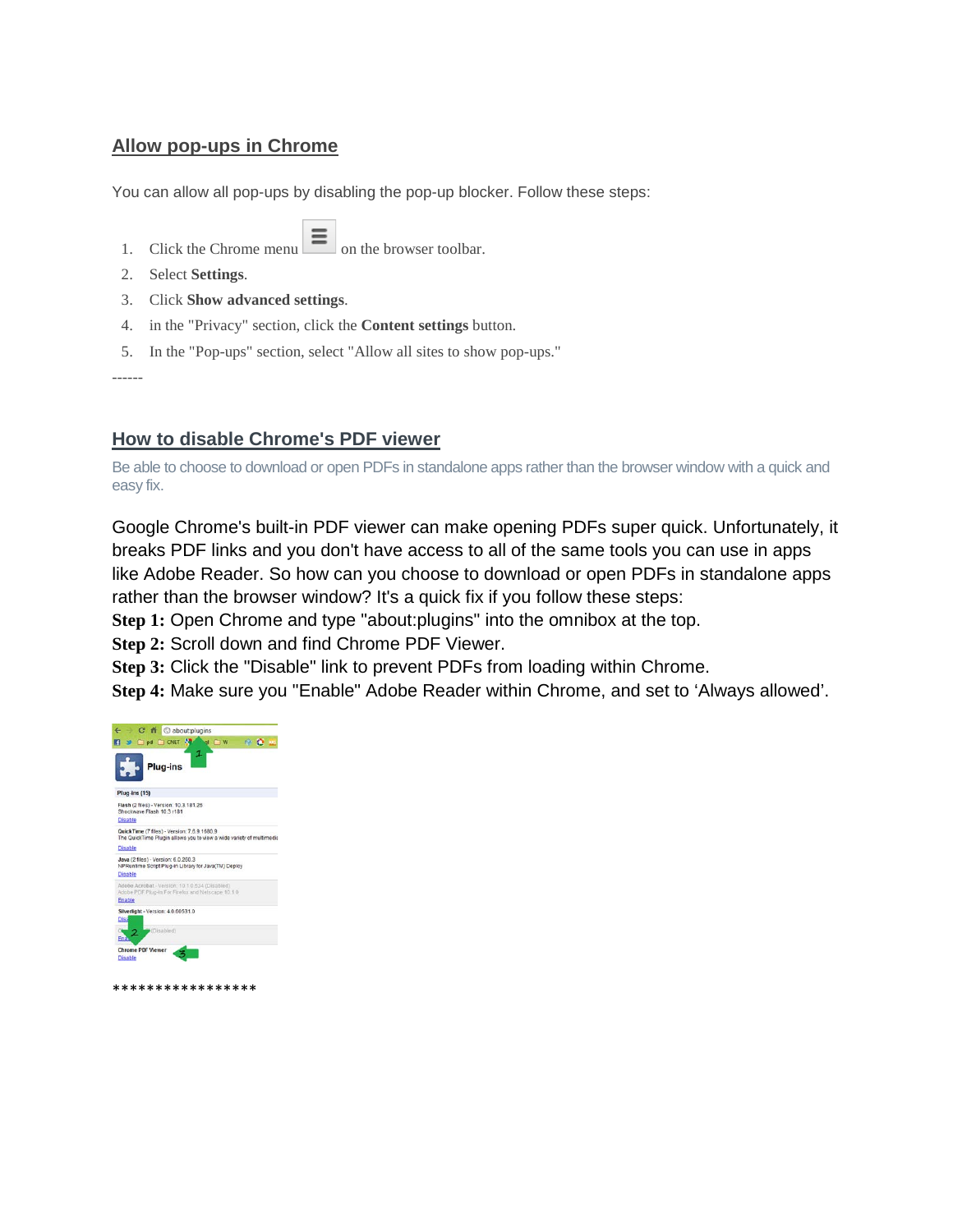## **Allow pop-ups in Chrome**

You can allow all pop-ups by disabling the pop-up blocker. Follow these steps:

- 1. Click the Chrome menu on the browser toolbar.
- 2. Select **Settings**.
- 3. Click **Show advanced settings**.
- 4. in the "Privacy" section, click the **Content settings** button.
- 5. In the "Pop-ups" section, select "Allow all sites to show pop-ups."

------

## **How to disable Chrome's PDF viewer**

Be able to choose to download or open PDFs in standalone apps rather than the browser window with a quick and easy fix.

Google Chrome's built-in PDF viewer can make opening PDFs super quick. Unfortunately, it breaks PDF links and you don't have access to all of the same tools you can use in apps like Adobe Reader. So how can you choose to download or open PDFs in standalone apps rather than the browser window? It's a quick fix if you follow these steps:

**Step 1:** Open Chrome and type "about:plugins" into the omnibox at the top.

**Step 2:** Scroll down and find Chrome PDF Viewer.

**Step 3:** Click the "Disable" link to prevent PDFs from loading within Chrome.

**Step 4:** Make sure you "Enable" Adobe Reader within Chrome, and set to 'Always allowed'.



\*\*\*\*\*\*\*\*\*\*\*\*\*\*\*\*\*